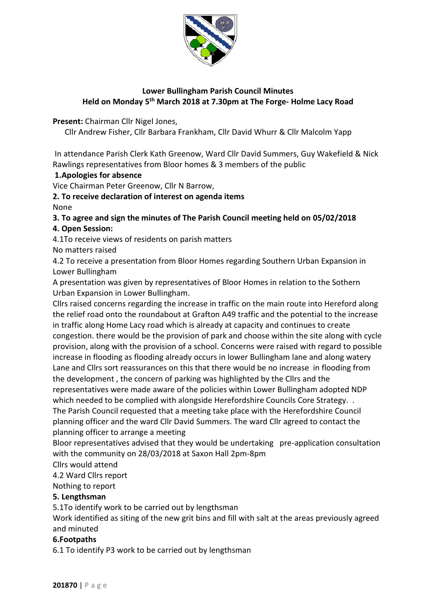

# **Lower Bullingham Parish Council Minutes Held on Monday 5 th March 2018 at 7.30pm at The Forge- Holme Lacy Road**

**Present:** Chairman Cllr Nigel Jones,

Cllr Andrew Fisher, Cllr Barbara Frankham, Cllr David Whurr & Cllr Malcolm Yapp

In attendance Parish Clerk Kath Greenow, Ward Cllr David Summers, Guy Wakefield & Nick Rawlings representatives from Bloor homes & 3 members of the public

### **1.Apologies for absence**

Vice Chairman Peter Greenow, Cllr N Barrow,

**2. To receive declaration of interest on agenda items**

None

**3. To agree and sign the minutes of The Parish Council meeting held on 05/02/2018**

## **4. Open Session:**

4.1To receive views of residents on parish matters No matters raised

4.2 To receive a presentation from Bloor Homes regarding Southern Urban Expansion in Lower Bullingham

A presentation was given by representatives of Bloor Homes in relation to the Sothern Urban Expansion in Lower Bullingham.

Cllrs raised concerns regarding the increase in traffic on the main route into Hereford along the relief road onto the roundabout at Grafton A49 traffic and the potential to the increase in traffic along Home Lacy road which is already at capacity and continues to create congestion. there would be the provision of park and choose within the site along with cycle provision, along with the provision of a school. Concerns were raised with regard to possible increase in flooding as flooding already occurs in lower Bullingham lane and along watery Lane and Cllrs sort reassurances on this that there would be no increase in flooding from the development , the concern of parking was highlighted by the Cllrs and the representatives were made aware of the policies within Lower Bullingham adopted NDP which needed to be complied with alongside Herefordshire Councils Core Strategy. . The Parish Council requested that a meeting take place with the Herefordshire Council planning officer and the ward Cllr David Summers. The ward Cllr agreed to contact the planning officer to arrange a meeting

Bloor representatives advised that they would be undertaking pre-application consultation with the community on 28/03/2018 at Saxon Hall 2pm-8pm

Cllrs would attend

4.2 Ward Cllrs report

Nothing to report

#### **5. Lengthsman**

5.1To identify work to be carried out by lengthsman

Work identified as siting of the new grit bins and fill with salt at the areas previously agreed and minuted

#### **6.Footpaths**

6.1 To identify P3 work to be carried out by lengthsman